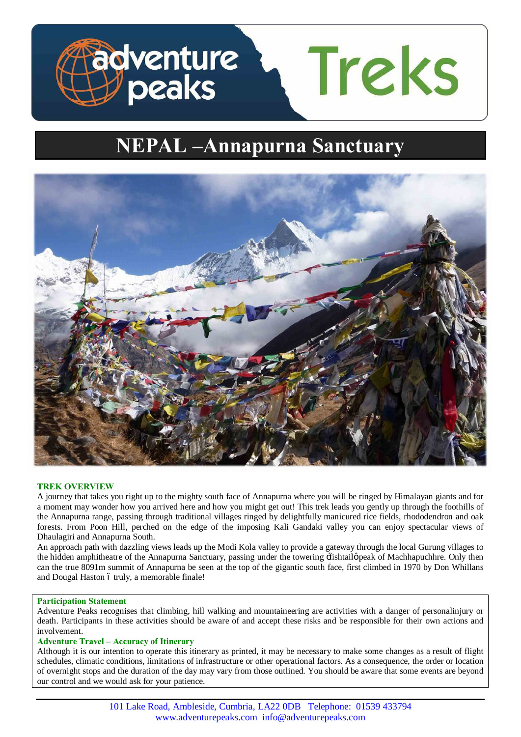

# **NEPAL –Annapurna Sanctuary**



# **TREK OVERVIEW**

A journey that takes you right up to the mighty south face of Annapurna where you will be ringed by Himalayan giants and for a moment may wonder how you arrived here and how you might get out! This trek leads you gently up through the foothills of the Annapurna range, passing through traditional villages ringed by delightfully manicured rice fields, rhododendron and oak forests. From Poon Hill, perched on the edge of the imposing Kali Gandaki valley you can enjoy spectacular views of Dhaulagiri and Annapurna South.

An approach path with dazzling views leads up the Modi Kola valley to provide a gateway through the local Gurung villages to the hidden amphitheatre of the Annapurna Sanctuary, passing under the towering  $\pm$ ishtail $\phi$  peak of Machhapuchhre. Only then can the true 8091m summit of Annapurna be seen at the top of the gigantic south face, first climbed in 1970 by Don Whillans and Dougal Haston ó truly, a memorable finale!

## **Participation Statement**

Adventure Peaks recognises that climbing, hill walking and mountaineering are activities with a danger of personalinjury or death. Participants in these activities should be aware of and accept these risks and be responsible for their own actions and involvement.

## **Adventure Travel – Accuracy of Itinerary**

Although it is our intention to operate this itinerary as printed, it may be necessary to make some changes as a result of flight schedules, climatic conditions, limitations of infrastructure or other operational factors. As a consequence, the order or location of overnight stops and the duration of the day may vary from those outlined. You should be aware that some events are beyond our control and we would ask for your patience.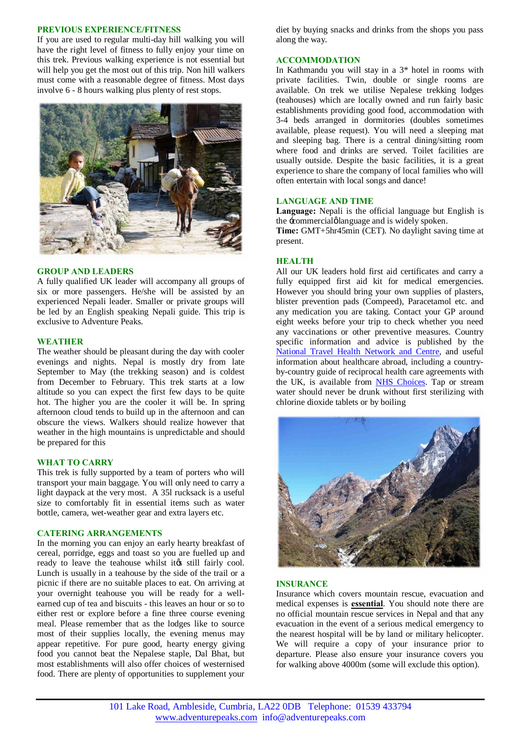#### **PREVIOUS EXPERIENCE/FITNESS**

If you are used to regular multi-day hill walking you will have the right level of fitness to fully enjoy your time on this trek. Previous walking experience is not essential but will help you get the most out of this trip. Non hill walkers must come with a reasonable degree of fitness. Most days involve 6 - 8 hours walking plus plenty of rest stops.



#### **GROUP AND LEADERS**

A fully qualified UK leader will accompany all groups of six or more passengers. He/she will be assisted by an experienced Nepali leader. Smaller or private groups will be led by an English speaking Nepali guide. This trip is exclusive to Adventure Peaks.

#### **WEATHER**

The weather should be pleasant during the day with cooler evenings and nights. Nepal is mostly dry from late September to May (the trekking season) and is coldest from December to February. This trek starts at a low altitude so you can expect the first few days to be quite hot. The higher you are the cooler it will be. In spring afternoon cloud tends to build up in the afternoon and can obscure the views. Walkers should realize however that weather in the high mountains is unpredictable and should be prepared for this

#### **WHAT TO CARRY**

This trek is fully supported by a team of porters who will transport your main baggage. You will only need to carry a light daypack at the very most. A 35l rucksack is a useful size to comfortably fit in essential items such as water bottle, camera, wet-weather gear and extra layers etc.

#### **CATERING ARRANGEMENTS**

In the morning you can enjoy an early hearty breakfast of cereal, porridge, eggs and toast so you are fuelled up and ready to leave the teahouse whilst its still fairly cool. Lunch is usually in a teahouse by the side of the trail or a picnic if there are no suitable places to eat. On arriving at your overnight teahouse you will be ready for a wellearned cup of tea and biscuits - this leaves an hour or so to either rest or explore before a fine three course evening meal. Please remember that as the lodges like to source most of their supplies locally, the evening menus may appear repetitive. For pure good, hearty energy giving food you cannot beat the Nepalese staple, Dal Bhat, but most establishments will also offer choices of westernised food. There are plenty of opportunities to supplement your

diet by buying snacks and drinks from the shops you pass along the way.

#### **ACCOMMODATION**

In Kathmandu you will stay in a 3\* hotel in rooms with private facilities. Twin, double or single rooms are available. On trek we utilise Nepalese trekking lodges (teahouses) which are locally owned and run fairly basic establishments providing good food, accommodation with 3-4 beds arranged in dormitories (doubles sometimes available, please request). You will need a sleeping mat and sleeping bag. There is a central dining/sitting room where food and drinks are served. Toilet facilities are usually outside. Despite the basic facilities, it is a great experience to share the company of local families who will often entertain with local songs and dance!

#### **LANGUAGE AND TIME**

**Language:** Nepali is the official language but English is the -commercial planguage and is widely spoken.

**Time:** GMT+5hr45min (CET). No daylight saving time at present.

#### **HEALTH**

All our UK leaders hold first aid certificates and carry a fully equipped first aid kit for medical emergencies. However you should bring your own supplies of plasters, blister prevention pads (Compeed), Paracetamol etc. and any medication you are taking. Contact your GP around eight weeks before your trip to check whether you need any vaccinations or other preventive measures. Country specific information and advice is published by the [National Travel Health Network and Centre](http://www.nathnac.org/ds/map_world.aspx), and useful information about healthcare abroad, including a countryby-country guide of reciprocal health care agreements with the UK, is available from **NHS** Choices. Tap or stream water should never be drunk without first sterilizing with chlorine dioxide tablets or by boiling



#### **INSURANCE**

Insurance which covers mountain rescue, evacuation and medical expenses is **essential**. You should note there are no official mountain rescue services in Nepal and that any evacuation in the event of a serious medical emergency to the nearest hospital will be by land or military helicopter. We will require a copy of your insurance prior to departure. Please also ensure your insurance covers you for walking above 4000m (some will exclude this option).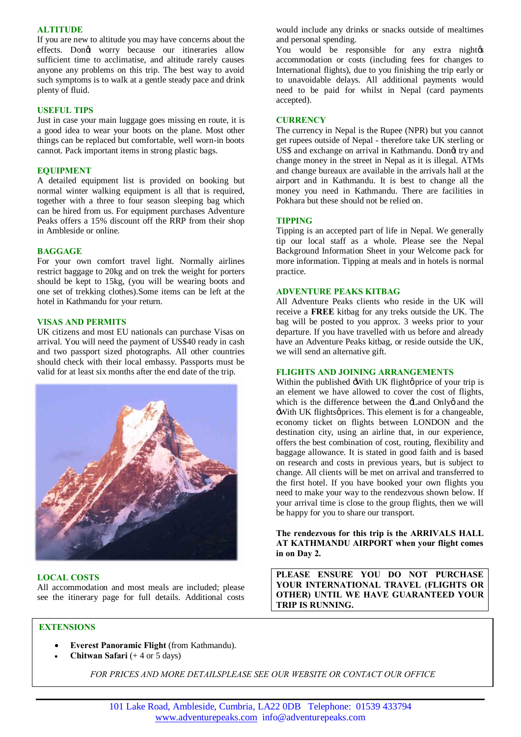## **ALTITUDE**

If you are new to altitude you may have concerns about the effects. Dongt worry because our itineraries allow sufficient time to acclimatise, and altitude rarely causes anyone any problems on this trip. The best way to avoid such symptoms is to walk at a gentle steady pace and drink plenty of fluid.

#### **USEFUL TIPS**

Just in case your main luggage goes missing en route, it is a good idea to wear your boots on the plane. Most other things can be replaced but comfortable, well worn-in boots cannot. Pack important items in strong plastic bags.

## **EQUIPMENT**

A detailed equipment list is provided on booking but normal winter walking equipment is all that is required, together with a three to four season sleeping bag which can be hired from us. For equipment purchases Adventure Peaks offers a 15% discount off the RRP from their shop in Ambleside or online.

## **BAGGAGE**

For your own comfort travel light. Normally airlines restrict baggage to 20kg and on trek the weight for porters should be kept to 15kg, (you will be wearing boots and one set of trekking clothes).Some items can be left at the hotel in Kathmandu for your return.

## **VISAS AND PERMITS**

UK citizens and most EU nationals can purchase Visas on arrival. You will need the payment of US\$40 ready in cash and two passport sized photographs. All other countries should check with their local embassy. Passports must be valid for at least six months after the end date of the trip.



# **LOCAL COSTS**

All accommodation and most meals are included; please see the itinerary page for full details. Additional costs would include any drinks or snacks outside of mealtimes and personal spending.

You would be responsible for any extra nightes accommodation or costs (including fees for changes to International flights), due to you finishing the trip early or to unavoidable delays. All additional payments would need to be paid for whilst in Nepal (card payments accepted).

#### **CURRENCY**

The currency in Nepal is the Rupee (NPR) but you cannot get rupees outside of Nepal - therefore take UK sterling or US\$ and exchange on arrival in Kathmandu. Dongt try and change money in the street in Nepal as it is illegal. ATMs and change bureaux are available in the arrivals hall at the airport and in Kathmandu. It is best to change all the money you need in Kathmandu. There are facilities in Pokhara but these should not be relied on.

## **TIPPING**

Tipping is an accepted part of life in Nepal. We generally tip our local staff as a whole. Please see the Nepal Background Information Sheet in your Welcome pack for more information. Tipping at meals and in hotels is normal practice.

## **ADVENTURE PEAKS KITBAG**

All Adventure Peaks clients who reside in the UK will receive a **FREE** kitbag for any treks outside the UK. The bag will be posted to you approx. 3 weeks prior to your departure. If you have travelled with us before and already have an Adventure Peaks kitbag, or reside outside the UK, we will send an alternative gift.

## **FLIGHTS AND JOINING ARRANGEMENTS**

Within the published  $\exists$ With UK flightø price of your trip is an element we have allowed to cover the cost of flights, which is the difference between the  $\pm$  and Only $\varphi$  and the  $\exists$ With UK flights $\varphi$  prices. This element is for a changeable, economy ticket on flights between LONDON and the destination city, using an airline that, in our experience, offers the best combination of cost, routing, flexibility and baggage allowance. It is stated in good faith and is based on research and costs in previous years, but is subject to change. All clients will be met on arrival and transferred to the first hotel. If you have booked your own flights you need to make your way to the rendezvous shown below. If your arrival time is close to the group flights, then we will be happy for you to share our transport.

**The rendezvous for this trip is the ARRIVALS HALL AT KATHMANDU AIRPORT when your flight comes in on Day 2.** 

**PLEASE ENSURE YOU DO NOT PURCHASE YOUR INTERNATIONAL TRAVEL (FLIGHTS OR OTHER) UNTIL WE HAVE GUARANTEED YOUR TRIP IS RUNNING.**

# **EXTENSIONS**

- · **Everest Panoramic Flight** (from Kathmandu).
- · **Chitwan Safari** (+ 4 or 5 days)

*FOR PRICES AND MORE DETAILSPLEASE SEE OUR WEBSITE OR CONTACT OUR OFFICE*